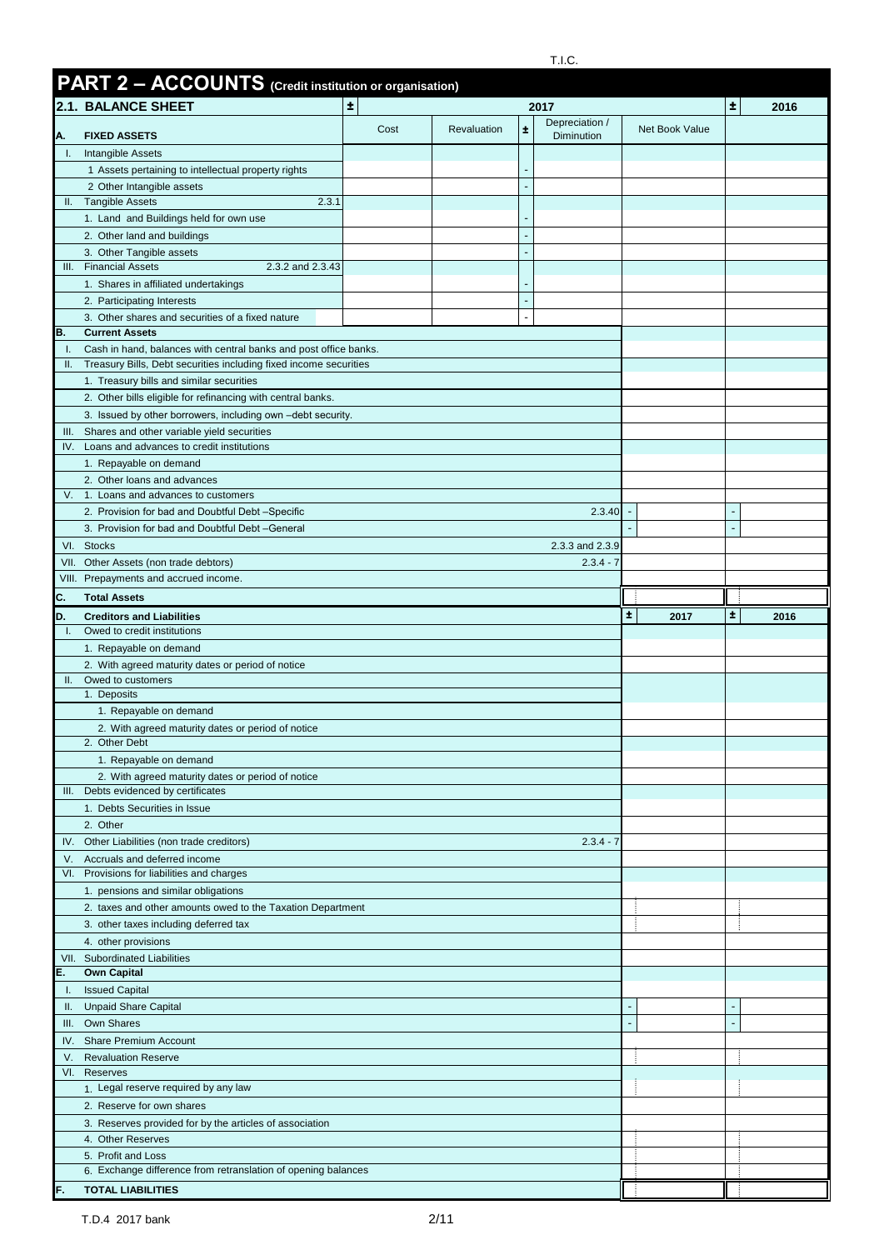|                    | PART 2 - ACCOUNTS (Credit institution or organisation)                                                                                |      |             |    |                              |                |    |      |
|--------------------|---------------------------------------------------------------------------------------------------------------------------------------|------|-------------|----|------------------------------|----------------|----|------|
|                    | $\pm$<br><b>2.1. BALANCE SHEET</b><br>2017                                                                                            |      |             |    |                              |                | Ŧ. | 2016 |
| Α.                 | <b>FIXED ASSETS</b>                                                                                                                   | Cost | Revaluation | ±. | Depreciation /<br>Diminution | Net Book Value |    |      |
| Τ.                 | Intangible Assets                                                                                                                     |      |             |    |                              |                |    |      |
|                    | 1 Assets pertaining to intellectual property rights                                                                                   |      |             |    |                              |                |    |      |
|                    | 2 Other Intangible assets                                                                                                             |      |             |    |                              |                |    |      |
| Ш.                 | <b>Tangible Assets</b><br>2.3.1                                                                                                       |      |             |    |                              |                |    |      |
|                    | 1. Land and Buildings held for own use                                                                                                |      |             |    |                              |                |    |      |
|                    | 2. Other land and buildings<br>3. Other Tangible assets                                                                               |      |             |    |                              |                |    |      |
| III.               | <b>Financial Assets</b><br>2.3.2 and 2.3.43                                                                                           |      |             |    |                              |                |    |      |
|                    | 1. Shares in affiliated undertakings                                                                                                  |      |             |    |                              |                |    |      |
|                    | 2. Participating Interests                                                                                                            |      |             |    |                              |                |    |      |
|                    | 3. Other shares and securities of a fixed nature                                                                                      |      |             |    |                              |                |    |      |
| В.<br>Ι.           | <b>Current Assets</b>                                                                                                                 |      |             |    |                              |                |    |      |
| Ш.                 | Cash in hand, balances with central banks and post office banks.<br>Treasury Bills, Debt securities including fixed income securities |      |             |    |                              |                |    |      |
|                    | 1. Treasury bills and similar securities                                                                                              |      |             |    |                              |                |    |      |
|                    | 2. Other bills eligible for refinancing with central banks.                                                                           |      |             |    |                              |                |    |      |
|                    | 3. Issued by other borrowers, including own -debt security.                                                                           |      |             |    |                              |                |    |      |
| III.               | Shares and other variable yield securities                                                                                            |      |             |    |                              |                |    |      |
|                    | IV. Loans and advances to credit institutions                                                                                         |      |             |    |                              |                |    |      |
|                    | 1. Repayable on demand<br>2. Other loans and advances                                                                                 |      |             |    |                              |                |    |      |
| V.                 | 1. Loans and advances to customers                                                                                                    |      |             |    |                              |                |    |      |
|                    | 2. Provision for bad and Doubtful Debt-Specific                                                                                       |      |             |    | 2.3.40                       |                |    |      |
|                    | 3. Provision for bad and Doubtful Debt-General                                                                                        |      |             |    |                              |                |    |      |
|                    | VI. Stocks                                                                                                                            |      |             |    | 2.3.3 and 2.3.9              |                |    |      |
|                    | VII. Other Assets (non trade debtors)                                                                                                 |      |             |    | $2.3.4 - 7$                  |                |    |      |
|                    | VIII. Prepayments and accrued income.                                                                                                 |      |             |    |                              |                |    |      |
| c.                 | <b>Total Assets</b>                                                                                                                   |      |             |    |                              |                |    |      |
| D.<br>$\mathbf{L}$ | <b>Creditors and Liabilities</b><br>Owed to credit institutions                                                                       |      |             |    |                              | 士<br>2017      | Ŧ. | 2016 |
|                    | 1. Repayable on demand                                                                                                                |      |             |    |                              |                |    |      |
|                    | 2. With agreed maturity dates or period of notice                                                                                     |      |             |    |                              |                |    |      |
| Ш.                 | Owed to customers                                                                                                                     |      |             |    |                              |                |    |      |
|                    |                                                                                                                                       |      |             |    |                              |                |    |      |
|                    | 1. Deposits                                                                                                                           |      |             |    |                              |                |    |      |
|                    | 1. Repayable on demand                                                                                                                |      |             |    |                              |                |    |      |
|                    | 2. With agreed maturity dates or period of notice<br>2. Other Debt                                                                    |      |             |    |                              |                |    |      |
|                    | 1. Repayable on demand                                                                                                                |      |             |    |                              |                |    |      |
|                    | 2. With agreed maturity dates or period of notice                                                                                     |      |             |    |                              |                |    |      |
|                    | III. Debts evidenced by certificates                                                                                                  |      |             |    |                              |                |    |      |
|                    | 1. Debts Securities in Issue                                                                                                          |      |             |    |                              |                |    |      |
|                    | 2. Other                                                                                                                              |      |             |    |                              |                |    |      |
|                    | IV. Other Liabilities (non trade creditors)<br>V. Accruals and deferred income                                                        |      |             |    | $2.3.4 - 7$                  |                |    |      |
|                    | VI. Provisions for liabilities and charges                                                                                            |      |             |    |                              |                |    |      |
|                    | 1. pensions and similar obligations                                                                                                   |      |             |    |                              |                |    |      |
|                    | 2. taxes and other amounts owed to the Taxation Department                                                                            |      |             |    |                              |                |    |      |
|                    | 3. other taxes including deferred tax                                                                                                 |      |             |    |                              |                |    |      |
|                    | 4. other provisions                                                                                                                   |      |             |    |                              |                |    |      |
|                    | VII. Subordinated Liabilities                                                                                                         |      |             |    |                              |                |    |      |
| Е.<br>Ι.           | <b>Own Capital</b><br><b>Issued Capital</b>                                                                                           |      |             |    |                              |                |    |      |
| Ш.                 | <b>Unpaid Share Capital</b>                                                                                                           |      |             |    |                              |                |    |      |
|                    | III. Own Shares                                                                                                                       |      |             |    |                              |                |    |      |
|                    | IV. Share Premium Account                                                                                                             |      |             |    |                              |                |    |      |
| V.                 | <b>Revaluation Reserve</b>                                                                                                            |      |             |    |                              |                |    |      |
|                    | VI. Reserves                                                                                                                          |      |             |    |                              |                |    |      |
|                    | 1. Legal reserve required by any law                                                                                                  |      |             |    |                              |                |    |      |
|                    | 2. Reserve for own shares<br>3. Reserves provided for by the articles of association                                                  |      |             |    |                              |                |    |      |
|                    | 4. Other Reserves                                                                                                                     |      |             |    |                              |                |    |      |
|                    | 5. Profit and Loss                                                                                                                    |      |             |    |                              |                |    |      |
|                    | 6. Exchange difference from retranslation of opening balances                                                                         |      |             |    |                              |                |    |      |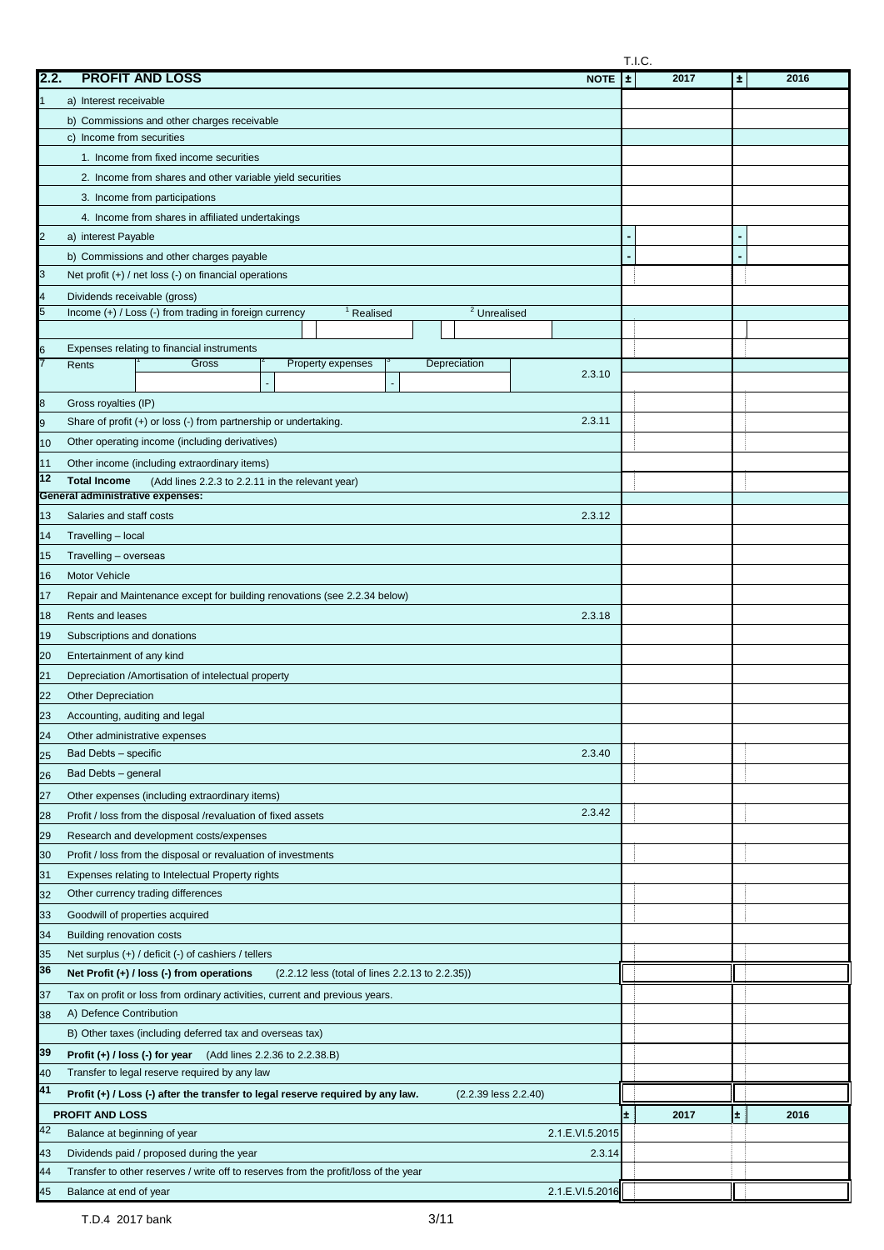|                     |                                                                                                                                            |    | T.I.C. |       |      |  |
|---------------------|--------------------------------------------------------------------------------------------------------------------------------------------|----|--------|-------|------|--|
| 2.2.                | <b>PROFIT AND LOSS</b><br><b>NOTE</b>                                                                                                      | Ŀ. | 2017   | $\pm$ | 2016 |  |
|                     | a) Interest receivable                                                                                                                     |    |        |       |      |  |
|                     | b) Commissions and other charges receivable                                                                                                |    |        |       |      |  |
|                     | c) Income from securities                                                                                                                  |    |        |       |      |  |
|                     | 1. Income from fixed income securities                                                                                                     |    |        |       |      |  |
|                     | 2. Income from shares and other variable yield securities                                                                                  |    |        |       |      |  |
|                     | 3. Income from participations                                                                                                              |    |        |       |      |  |
|                     | 4. Income from shares in affiliated undertakings                                                                                           |    |        |       |      |  |
| 2                   | a) interest Payable                                                                                                                        |    |        |       |      |  |
|                     | b) Commissions and other charges payable                                                                                                   |    |        |       |      |  |
| 3                   | Net profit $(+)$ / net loss $(-)$ on financial operations                                                                                  |    |        |       |      |  |
| 4                   | Dividends receivable (gross)                                                                                                               |    |        |       |      |  |
| 5                   | $\sqrt{2}$ Unrealised<br>Income $(+)$ / Loss $(-)$ from trading in foreign currency<br><sup>1</sup> Realised                               |    |        |       |      |  |
|                     |                                                                                                                                            |    |        |       |      |  |
| 6<br>$\overline{7}$ | Expenses relating to financial instruments                                                                                                 |    |        |       |      |  |
|                     | Gross<br>Property expenses<br>Depreciation<br>Rents<br>2.3.10                                                                              |    |        |       |      |  |
|                     |                                                                                                                                            |    |        |       |      |  |
| 8                   | Gross royalties (IP)<br>Share of profit (+) or loss (-) from partnership or undertaking.<br>2.3.11                                         |    |        |       |      |  |
| 9                   |                                                                                                                                            |    |        |       |      |  |
| 10                  | Other operating income (including derivatives)                                                                                             |    |        |       |      |  |
| 11<br>12            | Other income (including extraordinary items)                                                                                               |    |        |       |      |  |
|                     | <b>Total Income</b><br>(Add lines 2.2.3 to 2.2.11 in the relevant year)<br><b>General administrative expenses:</b>                         |    |        |       |      |  |
| 13                  | Salaries and staff costs<br>2.3.12                                                                                                         |    |        |       |      |  |
| 14                  | Travelling - local                                                                                                                         |    |        |       |      |  |
| 15                  | Travelling - overseas                                                                                                                      |    |        |       |      |  |
| 16                  | Motor Vehicle                                                                                                                              |    |        |       |      |  |
| 17                  | Repair and Maintenance except for building renovations (see 2.2.34 below)                                                                  |    |        |       |      |  |
| 18                  | Rents and leases<br>2.3.18                                                                                                                 |    |        |       |      |  |
| 19                  | Subscriptions and donations                                                                                                                |    |        |       |      |  |
| 20                  | Entertainment of any kind                                                                                                                  |    |        |       |      |  |
| 21                  | Depreciation /Amortisation of intelectual property                                                                                         |    |        |       |      |  |
| 22                  | <b>Other Depreciation</b>                                                                                                                  |    |        |       |      |  |
|                     | Accounting, auditing and legal                                                                                                             |    |        |       |      |  |
| 24                  | Other administrative expenses                                                                                                              |    |        |       |      |  |
| 25                  | Bad Debts - specific<br>2.3.40                                                                                                             |    |        |       |      |  |
| 26                  | Bad Debts - general                                                                                                                        |    |        |       |      |  |
| 27                  | Other expenses (including extraordinary items)                                                                                             |    |        |       |      |  |
| 28                  | 2.3.42<br>Profit / loss from the disposal /revaluation of fixed assets                                                                     |    |        |       |      |  |
| 29                  | Research and development costs/expenses                                                                                                    |    |        |       |      |  |
| 30                  | Profit / loss from the disposal or revaluation of investments                                                                              |    |        |       |      |  |
| 31                  | Expenses relating to Intelectual Property rights                                                                                           |    |        |       |      |  |
| 32                  | Other currency trading differences                                                                                                         |    |        |       |      |  |
| 33                  | Goodwill of properties acquired                                                                                                            |    |        |       |      |  |
| 34                  | <b>Building renovation costs</b>                                                                                                           |    |        |       |      |  |
| 35                  | Net surplus (+) / deficit (-) of cashiers / tellers                                                                                        |    |        |       |      |  |
| 36                  | Net Profit (+) / loss (-) from operations<br>(2.2.12 less (total of lines 2.2.13 to 2.2.35))                                               |    |        |       |      |  |
|                     | Tax on profit or loss from ordinary activities, current and previous years.                                                                |    |        |       |      |  |
| 37<br>38            | A) Defence Contribution                                                                                                                    |    |        |       |      |  |
|                     | B) Other taxes (including deferred tax and overseas tax)                                                                                   |    |        |       |      |  |
| 39                  |                                                                                                                                            |    |        |       |      |  |
| 40                  | <b>Profit (+) / loss (-) for year</b> (Add lines $2.2.36$ to $2.2.38.B$ )<br>Transfer to legal reserve required by any law                 |    |        |       |      |  |
| 41                  | Profit (+) / Loss (-) after the transfer to legal reserve required by any law.<br>$(2.2.39$ less $2.2.40)$                                 |    |        |       |      |  |
|                     |                                                                                                                                            |    |        |       |      |  |
| 42                  | <b>PROFIT AND LOSS</b><br>Balance at beginning of year                                                                                     | ±. | 2017   | ±.    | 2016 |  |
|                     | 2.1.E.VI.5.2015                                                                                                                            |    |        |       |      |  |
| 43<br>44            | Dividends paid / proposed during the year<br>2.3.14<br>Transfer to other reserves / write off to reserves from the profit/loss of the year |    |        |       |      |  |
| 45                  | 2.1.E.VI.5.2016<br>Balance at end of year                                                                                                  |    |        |       |      |  |
|                     |                                                                                                                                            |    |        |       |      |  |